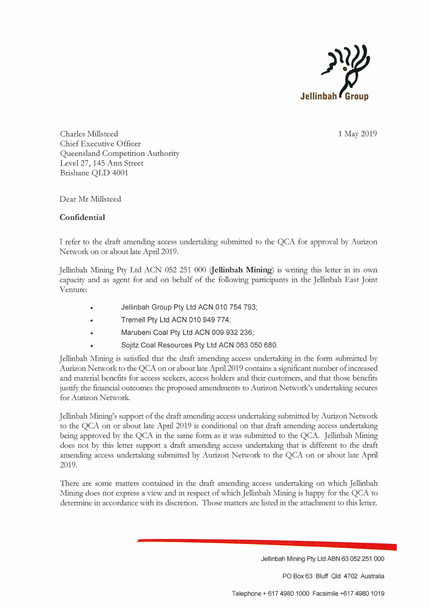

Charles Millsteed Chief Executive Officer Queensland Competition Authority Level 27, 145 Ann Street Brisbane QLD 4001

1 May 2019

Dear Mr Millsteed

## Confidential

I refer to the draft amending access undertaking submitted to the QCA for approval by Aurizon Network on or about late April 2019.

Jellinbah Mining Pty Ltd ACN 052 251 000 (Jellinbah Mining) is writing this letter in its own capacity and as agent for and on behalf of the following participants in the Jellinbah East Joint Venture:

- Jellinbah Group Pty Ltd ACN 010 754 793;
- Tremell Pty Ltd ACN 010 949 774;
- Marubeni Coal Pty Ltd ACN 009 932 236;
- Sojitz Coal Resources Pty Ltd ACN 063 050 680.

Jellinbah Mining is satisfied that the draft amending access undertaking in the form submitted by Aurizon Network to the QCA on or about late April 2019 contains a significant number of increased and material benefits for access seekers, access holders and their customers, and that those benefits justify the financial outcomes the proposed amendments to Aurizon Network's undertaking secures for Aurizon Network.

Jellinbah Mining's support of the draft amending access undertaking submitted by Aurizon Network to the QCA on or about late April 2019 is conditional on that draft amending access undertaking being approved by the QCA in the same form as it was submitted to the QCA. Jellinbah Mining does not by this letter support a draft amending access undertaking that is different to the draft amending access undertaking submitted by Aurizon Network to the QCA on or about late April 2019.

There are some matters contained in the draft amending access undertaking on which Jellinbah Mining does not express a view and in respect of which Jellinbah Mining is happy for the QCA to determine in accordance with its discretion. Those matters are listed in the attachment to this letter.

Jellinbah Mining Pty Ltd ABN 63 052 251 000

PO Box 63 Bluff Qld 4702 Australia

Telephone + 617 4980 1000 Facsimile +6174980 1019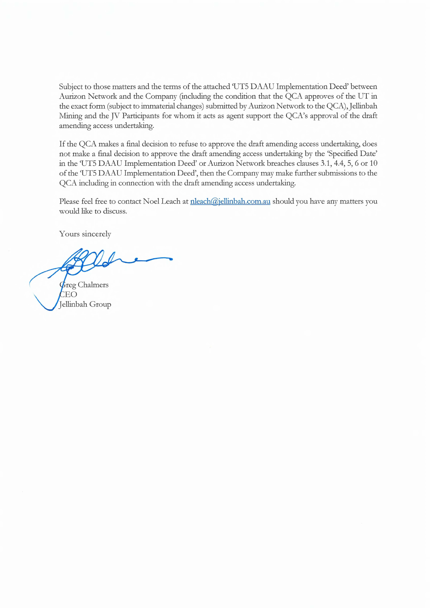Subject to those matters and the terms of the attached 'UT5 DAAU Implementation Deed' between Aurizon Network and the Company (including the condition that the QCA approves of the UT in the exact form (subject to immaterial changes) submitted by Aurizon Network to the QCA), Jellinbah Mining and the JV Participants for whom it acts as agent support the QCA's approval of the draft amending access undertaking.

If the QCA makes a final decision to refuse to approve the draft amending access undertaking, does not make a final decision to approve the draft amending access undertaking by the 'Specified Date' in the 'UT5 DAAU Implementation Deed' or Aurizon Network breaches clauses 3.1, 4.4, 5, 6 or 10 of the `UT5 DAAU Implementation Deed', then the Company may make further submissions to the QCA including in connection with the draft amending access undertaking.

Please feel free to contact Noel Leach at nleach@jellinbah.com.au should you have any matters you would like to discuss.

Yours sincerely

**Greg Chalmers** EO Jellinbah Group